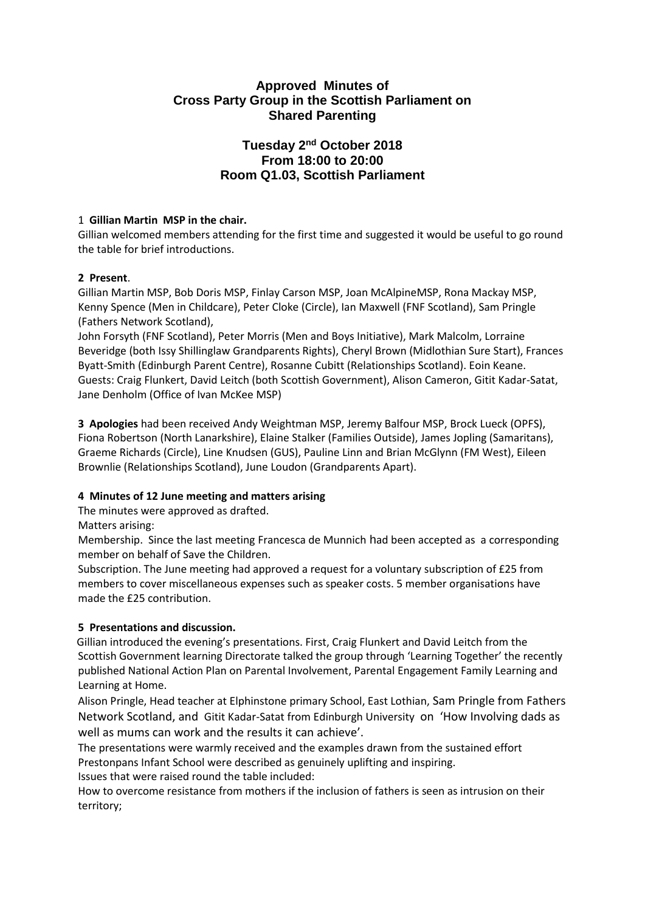## **Approved Minutes of Cross Party Group in the Scottish Parliament on Shared Parenting**

# **Tuesday 2nd October 2018 From 18:00 to 20:00 Room Q1.03, Scottish Parliament**

## 1 **Gillian Martin MSP in the chair.**

Gillian welcomed members attending for the first time and suggested it would be useful to go round the table for brief introductions.

#### **2 Present**.

Gillian Martin MSP, Bob Doris MSP, Finlay Carson MSP, Joan McAlpineMSP, Rona Mackay MSP, Kenny Spence (Men in Childcare), Peter Cloke (Circle), Ian Maxwell (FNF Scotland), Sam Pringle (Fathers Network Scotland),

John Forsyth (FNF Scotland), Peter Morris (Men and Boys Initiative), Mark Malcolm, Lorraine Beveridge (both Issy Shillinglaw Grandparents Rights), Cheryl Brown (Midlothian Sure Start), Frances Byatt-Smith (Edinburgh Parent Centre), Rosanne Cubitt (Relationships Scotland). Eoin Keane. Guests: Craig Flunkert, David Leitch (both Scottish Government), Alison Cameron, Gitit Kadar-Satat, Jane Denholm (Office of Ivan McKee MSP)

**3 Apologies** had been received Andy Weightman MSP, Jeremy Balfour MSP, Brock Lueck (OPFS), Fiona Robertson (North Lanarkshire), Elaine Stalker (Families Outside), James Jopling (Samaritans), Graeme Richards (Circle), Line Knudsen (GUS), Pauline Linn and Brian McGlynn (FM West), Eileen Brownlie (Relationships Scotland), June Loudon (Grandparents Apart).

## **4 Minutes of 12 June meeting and matters arising**

The minutes were approved as drafted.

Matters arising:

Membership. Since the last meeting Francesca de Munnich had been accepted as a corresponding member on behalf of Save the Children.

Subscription. The June meeting had approved a request for a voluntary subscription of £25 from members to cover miscellaneous expenses such as speaker costs. 5 member organisations have made the £25 contribution.

## **5 Presentations and discussion.**

 Gillian introduced the evening's presentations. First, Craig Flunkert and David Leitch from the Scottish Government learning Directorate talked the group through 'Learning Together' the recently published National Action Plan on Parental Involvement, Parental Engagement Family Learning and Learning at Home.

Alison Pringle, Head teacher at Elphinstone primary School, East Lothian, Sam Pringle from Fathers Network Scotland, and Gitit Kadar-Satat from Edinburgh University on 'How Involving dads as well as mums can work and the results it can achieve'.

The presentations were warmly received and the examples drawn from the sustained effort Prestonpans Infant School were described as genuinely uplifting and inspiring.

Issues that were raised round the table included:

How to overcome resistance from mothers if the inclusion of fathers is seen as intrusion on their territory;